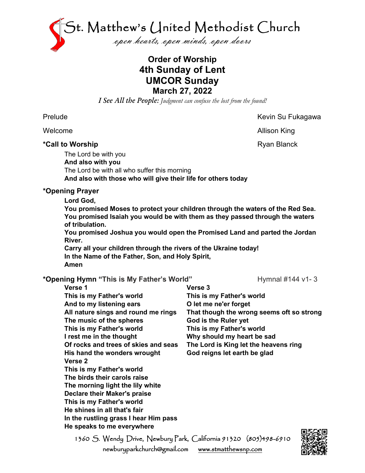

## **Order of Worship 4th Sunday of Lent UMCOR Sunday March 27, 2022**

*I See All the People: Judgment can confuse the lost from the found!*

#### \*Call to Worship **Allen and Struck and Struck and Struck** Ryan Blanck

Prelude **Kevin Su Fukagawa** 

Welcome **Allison King** 

The Lord be with you **And also with you** The Lord be with all who suffer this morning **And also with those who will give their life for others today**

## **\*Opening Prayer**

**Lord God,**

**You promised Moses to protect your children through the waters of the Red Sea. You promised Isaiah you would be with them as they passed through the waters of tribulation.**

**You promised Joshua you would open the Promised Land and parted the Jordan River.**

**Carry all your children through the rivers of the Ukraine today! In the Name of the Father, Son, and Holy Spirit, Amen**

## \*Opening Hymn "This is My Father's World" Hymnal #144 v1-3

**Verse 1 This is my Father's world And to my listening ears All nature sings and round me rings The music of the spheres This is my Father's world I rest me in the thought Of rocks and trees of skies and seas His hand the wonders wrought Verse 2 This is my Father's world The birds their carols raise The morning light the lily white Declare their Maker's praise This is my Father's world He shines in all that's fair In the rustling grass I hear Him pass He speaks to me everywhere**

**Verse 3 This is my Father's world O let me ne'er forget That though the wrong seems oft so strong God is the Ruler yet This is my Father's world Why should my heart be sad The Lord is King let the heavens ring God reigns let earth be glad**

1360 S. Wendy Drive, Newbury Park, California 91320 (805)498-6910 newburyparkchurch@gmail.com [www.stmatthewsnp.com](http://www.stmatthewsnp.com/)

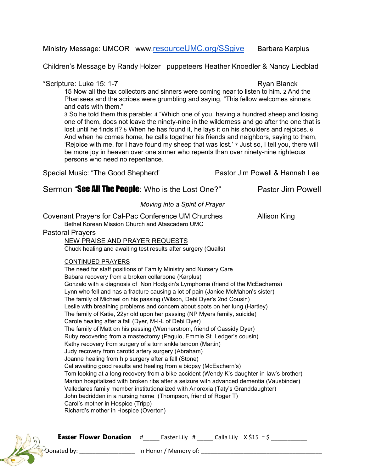#### Ministry Message: UMCOR www[.resourceUMC.org/SSgive](http://resourceumc.org/SSgive) Barbara Karplus

Children's Message by Randy Holzer puppeteers Heather Knoedler & Nancy Liedblad

#### \*Scripture: Luke 15: 1-7 Ryan Blanck

15 Now all the tax collectors and sinners were coming near to listen to him. 2 And the Pharisees and the scribes were grumbling and saying, "This fellow welcomes sinners and eats with them."

3 So he told them this parable: 4 "Which one of you, having a hundred sheep and losing one of them, does not leave the ninety-nine in the wilderness and go after the one that is lost until he finds it? 5 When he has found it, he lays it on his shoulders and rejoices. 6 And when he comes home, he calls together his friends and neighbors, saying to them, 'Rejoice with me, for I have found my sheep that was lost.' 7 Just so, I tell you, there will be more joy in heaven over one sinner who repents than over ninety-nine righteous persons who need no repentance.

Special Music: "The Good Shepherd' Pastor Jim Powell & Hannah Lee

## Sermon "See All The People: Who is the Lost One?" Pastor Jim Powell

*Moving into a Spirit of Prayer*

Covenant Prayers for Cal-Pac Conference UM Churches Allison King Bethel Korean Mission Church and Atascadero UMC Pastoral Prayers NEW PRAISE AND PRAYER REQUESTS Chuck healing and awaiting test results after surgery (Qualls) CONTINUED PRAYERS The need for staff positions of Family Ministry and Nursery Care Babara recovery from a broken collarbone (Karplus) Gonzalo with a diagnosis of Non Hodgkin's Lymphoma (friend of the McEacherns) Lynn who fell and has a fracture causing a lot of pain (Janice McMahon's sister) The family of Michael on his passing (Wilson, Debi Dyer's 2nd Cousin) Leslie with breathing problems and concern about spots on her lung (Hartley) The family of Katie, 22yr old upon her passing (NP Myers family, suicide) Carole healing after a fall (Dyer, M-I-L of Debi Dyer) The family of Matt on his passing (Wennerstrom, friend of Cassidy Dyer) Ruby recovering from a mastectomy (Paguio, Emmie St. Ledger's cousin) Kathy recovery from surgery of a torn ankle tendon (Martin) Judy recovery from carotid artery surgery (Abraham) Joanne healing from hip surgery after a fall (Stone) Cal awaiting good results and healing from a biopsy (McEachern's) Tom looking at a long recovery from a bike accident (Wendy K's daughter-in-law's brother) Marion hospitalized with broken ribs after a seizure with advanced dementia (Vausbinder) Valledares family member institutionalized with Anorexia (Taty's Granddaughter) John bedridden in a nursing home (Thompson, friend of Roger T) Carol's mother in Hospice (Tripp) Richard's mother in Hospice (Overton)



| <b>Easter Flower Donation</b> # |  | Easter Lily # |  |  | Calla Lily $X \$ 515 = $\frac{1}{2}$ |
|---------------------------------|--|---------------|--|--|--------------------------------------|
|---------------------------------|--|---------------|--|--|--------------------------------------|

 $\mathbb{D}$ onated by:  $\Box$  In Honor / Memory of: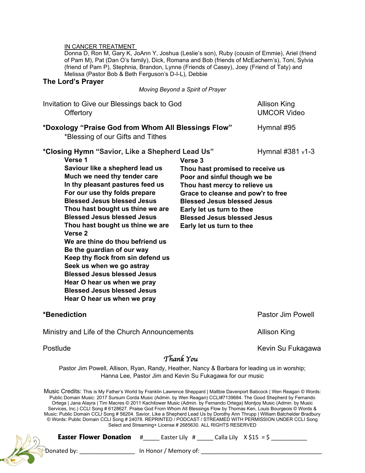#### IN CANCER TREATMENT

Donna D, Ron M, Gary K, JoAnn Y, Joshua (Leslie's son), Ruby (cousin of Emmie), Ariel (friend of Pam M), Pat (Dan O's family), Dick, Romana and Bob (friends of McEachern's), Toni, Sylvia (friend of Pam P), Stephnia, Brandon, Lynne (Friends of Casey), Joey (Friend of Taty) and Melissa (Pastor Bob & Beth Ferguson's D-I-L), Debbie

### **The Lord's Prayer**

*Moving Beyond a Spirit of Prayer*

| Invitation to Give our Blessings back to God<br>Offertory                                                                                                                                                                                                                                                                                                                                                                                                                                                                                                                                                                                                                                                                               | <b>Allison King</b><br><b>UMCOR Video</b>                                                                                                                                                                                                                                                |                          |  |  |  |
|-----------------------------------------------------------------------------------------------------------------------------------------------------------------------------------------------------------------------------------------------------------------------------------------------------------------------------------------------------------------------------------------------------------------------------------------------------------------------------------------------------------------------------------------------------------------------------------------------------------------------------------------------------------------------------------------------------------------------------------------|------------------------------------------------------------------------------------------------------------------------------------------------------------------------------------------------------------------------------------------------------------------------------------------|--------------------------|--|--|--|
| *Doxology "Praise God from Whom All Blessings Flow"<br>*Blessing of our Gifts and Tithes                                                                                                                                                                                                                                                                                                                                                                                                                                                                                                                                                                                                                                                | Hymnal #95                                                                                                                                                                                                                                                                               |                          |  |  |  |
| *Closing Hymn "Savior, Like a Shepherd Lead Us"<br>Verse 1<br>Saviour like a shepherd lead us<br>Much we need thy tender care<br>In thy pleasant pastures feed us<br>For our use thy folds prepare<br><b>Blessed Jesus blessed Jesus</b><br>Thou hast bought us thine we are<br><b>Blessed Jesus blessed Jesus</b><br>Thou hast bought us thine we are<br>Verse <sub>2</sub><br>We are thine do thou befriend us<br>Be the guardian of our way<br>Keep thy flock from sin defend us<br>Seek us when we go astray<br><b>Blessed Jesus blessed Jesus</b><br>Hear O hear us when we pray<br><b>Blessed Jesus blessed Jesus</b><br>Hear O hear us when we pray                                                                              | Verse 3<br>Thou hast promised to receive us<br>Poor and sinful though we be<br>Thou hast mercy to relieve us<br>Grace to cleanse and pow'r to free<br><b>Blessed Jesus blessed Jesus</b><br>Early let us turn to thee<br><b>Blessed Jesus blessed Jesus</b><br>Early let us turn to thee | Hymnal #381 v1-3         |  |  |  |
| *Benediction                                                                                                                                                                                                                                                                                                                                                                                                                                                                                                                                                                                                                                                                                                                            |                                                                                                                                                                                                                                                                                          | <b>Pastor Jim Powell</b> |  |  |  |
| Ministry and Life of the Church Announcements                                                                                                                                                                                                                                                                                                                                                                                                                                                                                                                                                                                                                                                                                           | Allison King                                                                                                                                                                                                                                                                             |                          |  |  |  |
| Postlude                                                                                                                                                                                                                                                                                                                                                                                                                                                                                                                                                                                                                                                                                                                                | Thank You                                                                                                                                                                                                                                                                                | Kevin Su Fukagawa        |  |  |  |
| Pastor Jim Powell, Allison, Ryan, Randy, Heather, Nancy & Barbara for leading us in worship;<br>Hanna Lee, Pastor Jim and Kevin Su Fukagawa for our music                                                                                                                                                                                                                                                                                                                                                                                                                                                                                                                                                                               |                                                                                                                                                                                                                                                                                          |                          |  |  |  |
| Music Credits: This is My Father's World by Franklin Lawrence Sheppard   Maltbie Davenport Babcock   Wen Reagan © Words:<br>Public Domain Music: 2017 Sursum Corda Music (Admin. by Wen Reagan) CCLI#7139684. The Good Shepherd by Fernando<br>Ortega   Jana Alayra   Tim Macres © 2011 Kachitower Music (Admin. by Fernando Ortega) Montjoy Music (Admin. by Music<br>Services, Inc.) CCLI Song # 6128627. Praise God From Whom All Blessings Flow by Thomas Ken, Louis Bourgeois @ Words &<br>Music: Public Domain CCLI Song # 56204. Savior, Like a Shepherd Lead Us by Dorothy Ann Thrupp   William Batchelder Bradbury<br>© Words: Public Domain CCLI Song # 24078. REPRINTED / PODCAST / STREAMED WITH PERMISSION UNDER CCLI Song | Select and Streaming+ License # 2685630. ALL RIGHTS RESERVED                                                                                                                                                                                                                             |                          |  |  |  |
| <b>Easter Flower Donation</b><br>#                                                                                                                                                                                                                                                                                                                                                                                                                                                                                                                                                                                                                                                                                                      | Easter Lily # _______ Calla Lily $X \$ \$15 = \$                                                                                                                                                                                                                                         |                          |  |  |  |

Donated by: \_\_\_\_\_\_\_\_\_\_\_\_\_\_\_\_\_ In Honor / Memory of: \_\_\_\_\_\_\_\_\_\_\_\_\_\_\_\_\_\_\_\_\_\_\_\_\_\_\_\_\_\_\_\_\_\_\_\_\_